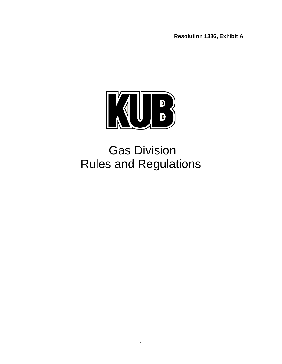**Resolution 1336, Exhibit A**



# Gas Division Rules and Regulations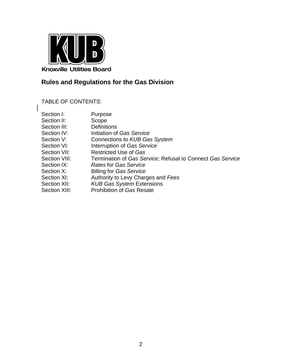

# **Rules and Regulations for the Gas Division**

TABLE OF CONTENTS:

| Section I:    | Purpose                                                    |
|---------------|------------------------------------------------------------|
| Section II:   | Scope                                                      |
| Section III:  | <b>Definitions</b>                                         |
| Section IV:   | Initiation of Gas Service                                  |
| Section V:    | Connections to KUB Gas System                              |
| Section VI:   | Interruption of Gas Service                                |
| Section VII:  | <b>Restricted Use of Gas</b>                               |
| Section VIII: | Termination of Gas Service; Refusal to Connect Gas Service |
| Section IX:   | <b>Rates for Gas Service</b>                               |
| Section X:    | <b>Billing for Gas Service</b>                             |
| Section XI:   | Authority to Levy Charges and Fees                         |
| Section XII:  | <b>KUB Gas System Extensions</b>                           |
| Section XIII: | <b>Prohibition of Gas Resale</b>                           |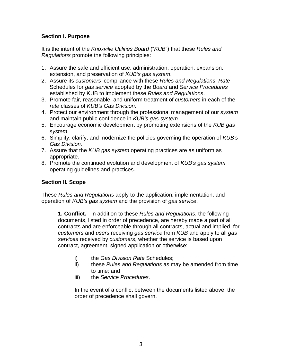# **Section I. Purpose**

It is the intent of the *Knoxville Utilities Board* ("*KUB*") that these *Rules and Regulations* promote the following principles:

- 1. Assure the safe and efficient use, administration, operation, expansion, extension, and preservation of *KUB's gas system*.
- 2. Assure its *customers'* compliance with these *Rules and Regulations*, *Rate* Schedules for *gas service* adopted by the *Board* and *Service Procedures* established by KUB to implement these *Rules and Regulations*.
- 3. Promote fair, reasonable, and uniform treatment of *customers* in each of the *rate* classes of *KUB's Gas Division*.
- 4. Protect our environment through the professional management of our *system* and maintain public confidence in *KUB's gas system.*
- 5. Encourage economic development by promoting extensions of the *KUB gas system*.
- 6. Simplify, clarify, and modernize the policies governing the operation of *KUB's Gas Division.*
- 7. Assure that the *KUB gas system* operating practices are as uniform as appropriate.
- 8. Promote the continued evolution and development of *KUB's gas system* operating guidelines and practices.

# **Section II. Scope**

These *Rules and Regulations* apply to the application, implementation, and operation of *KUB's gas system* and the provision of *gas service*.

**1. Conflict.** In addition to these *Rules and Regulations*, the following documents, listed in order of precedence, are hereby made a part of all contracts and are enforceable through all contracts, actual and implied, for *customers* and *users* receiving *gas service* from *KUB* and apply to all *gas services* received by *customers*, whether the service is based upon contract, agreement, signed application or otherwise:

- i) the *Gas Division Rate* Schedules;
- ii) these *Rules and Regulations* as may be amended from time to time*;* and
- iii) the *Service Procedures*.

In the event of a conflict between the documents listed above, the order of precedence shall govern.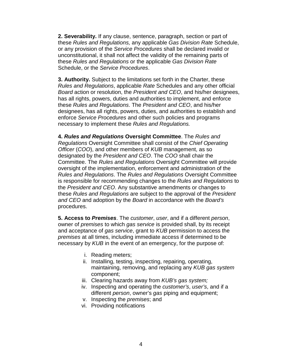**2. Severability.** If any clause, sentence, paragraph, section or part of these *Rules and Regulations,* any applicable *Gas Division Rate* Schedule, or any provision of the *Service Procedures* shall be declared invalid or unconstitutional, it shall not affect the validity of the remaining parts of these *Rules and Regulations* or the applicable *Gas Division Rate* Schedule, or the *Service Procedures*.

**3. Authority.** Subject to the limitations set forth in the Charter, these *Rules and Regulations*, applicable *Rate* Schedules and any other official *Board* action or resolution, the *President and CEO*, and his/her designees, has all rights, powers, duties and authorities to implement, and enforce these *Rules and Regulations*. The *President and CEO*, and his/her designees, has all rights, powers, duties, and authorities to establish and enforce *Service Procedures* and other such policies and programs necessary to implement these *Rules and Regulations.*

**4.** *Rules and Regulations* **Oversight Committee**. The *Rules and Regulations* Oversight Committee shall consist of the *Chief Operating Officer* (*COO*), and other members of *KUB* management, as so designated by the *President and CEO*. The *COO* shall chair the Committee. The *Rules and Regulations* Oversight Committee will provide oversight of the implementation, enforcement and administration of the *Rules and Regulations*. The *Rules and Regulations* Oversight Committee is responsible for recommending changes to the *Rules and Regulations* to the *President and CEO*. Any substantive amendments or changes to these *Rules and Regulations* are subject to the approval of the *President and CEO* and adoption by the *Board* in accordance with the *Board's* procedures.

**5. Access to** *Premises*. The *customer*, *user*, and if a different *person*, owner of *premises* to which *gas service* is provided shall, by its receipt and acceptance of *gas service*, grant to *KUB* permission to access the *premises* at all times, including immediate access if determined to be necessary by *KUB* in the event of an emergency, for the purpose of:

- i. Reading meters;
- ii. Installing, testing, inspecting, repairing, operating, maintaining, removing, and replacing any *KUB gas system* component;
- iii. Clearing hazards away from *KUB's gas system;*
- iv. Inspecting and operating the *customer's*, *user's*, and if a different *person*, owner's *gas* piping and equipment;
- v. Inspecting the *premises*; and
- vi. Providing notifications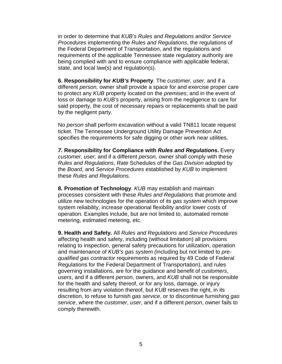in order to determine that *KUB's Rules and Regulations* and/or *Service Procedures* implementing the *Rules and Regulations*, the regulations of the Federal Department of Transportation, and the regulations and requirements of the applicable Tennessee state regulatory authority are being complied with and to ensure compliance with applicable federal, state, and local law(s) and regulation(s).

**6. Responsibility for** *KUB's* **Property**. The *customer, user,* and if a different *person,* owner shall provide a space for and exercise proper care to protect any *KUB* property located on the *premises*; and in the event of loss or damage to *KUB's* property, arising from the negligence to care for said property, the cost of necessary repairs or replacements shall be paid by the negligent party.

No *person* shall perform excavation without a valid TN811 locate request ticket. The Tennessee Underground Utility Damage Prevention Act specifies the requirements for safe digging or other work near utilities.

*7.* **Responsibility for Compliance with** *Rules and Regulations***.** Every *customer, user,* and if a different *person,* owner shall comply with these *Rules and Regulations*, *Rate* Schedules of the *Gas Division* adopted by the *Board*, and *Service Procedures* established by *KUB* to implement these *Rules and Regulations.*

**8. Promotion of Technology**. *KUB* may establish and maintain processes consistent with these *Rules and Regulations* that promote and utilize new technologies for the operation of its *gas system* which improve system reliability, increase operational flexibility and/or lower costs of operation. Examples include, but are not limited to, automated remote metering, estimated metering, etc.

**9. Health and Safety.** All *Rules and Regulations* and *Service Procedures* affecting health and safety, including (without limitation) all provisions relating to inspection, general safety precautions for utilization, operation and maintenance of *KUB's gas system (*including but not limited to *prequalified gas contractor* requirements as required by 49 Code of Federal Regulations for the Federal Department of Transportation), and rules governing installations, are for the guidance and benefit of *customers*, *users*, and if a different *person*, owners, and *KUB* shall not be responsible for the health and safety thereof, or for any loss, damage, or injury resulting from any violation thereof, but *KUB* reserves the right, in its discretion, to refuse to furnish *gas service*, or to discontinue furnishing *gas service*, where the *customer*, *user*, and if a different *person*, owner fails to comply therewith.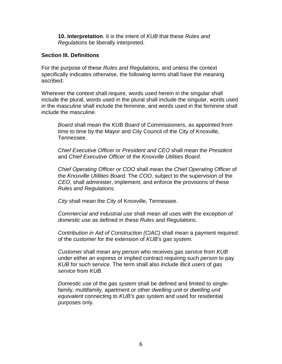**10. Interpretation**. It is the intent of *KUB* that these *Rules and Regulations* be liberally interpreted.

#### **Section III. Definitions**

For the purpose of these *Rules and Regulations*, and unless the context specifically indicates otherwise, the following terms shall have the meaning ascribed:

Wherever the context shall require, words used herein in the singular shall include the plural, words used in the plural shall include the singular, words used in the masculine shall include the feminine, and words used in the feminine shall include the masculine.

*Board* shall mean the *KUB Board* of Commissioners, as appointed from time to time by the Mayor and City Council of the City of Knoxville, Tennessee.

*Chief Executive Officer* or *President and CEO* shall mean the *President* and *Chief Executive Officer* of the *Knoxville Utilities Board*.

*Chief Operating Officer or COO* shall mean the *Chief Operating Officer* of the *Knoxville Utilities Board*. The *COO,* subject to the supervision of the *CEO*, shall administer, implement, and enforce the provisions of these *Rules and Regulations*.

*City* shall mean the City of Knoxville, Tennessee.

*Commercial and industrial use* shall mean all uses with the exception of *domestic use* as defined in these *Rules and Regulations*.

*Contribution in Aid of Construction (CIAC)* shall mean a payment required of the *customer* for the extension of *KUB's gas system*.

*Customer* shall mean any *person* who receives *gas service* from *KUB*  under either an express or implied contract requiring such *person* to pay *KUB* for such service. The term shall also include illicit *users* of *gas service* from *KUB*.

*Domestic use* of the *gas system* shall be defined and limited to singlefamily, multifamily, apartment or other *dwelling unit* or *dwelling unit equivalent* connecting to *KUB's gas system* and used for residential purposes only.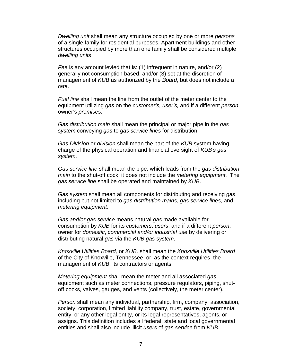*Dwelling unit* shall mean any structure occupied by one or more *persons* of a single family for residential purposes. Apartment buildings and other structures occupied by more than one family shall be considered multiple *dwelling units*.

*Fee* is any amount levied that is: (1) infrequent in nature, and/or (2) generally not consumption based, and/or (3) set at the discretion of management of *KUB* as authorized by the *Board*, but does not include a *rate*.

*Fuel line* shall mean the line from the outlet of the meter center to the equipment utilizing *gas* on the *customer's, user's,* and if a different *person*, owner's *premises*.

*Gas distribution main* shall mean the principal or major pipe in the *gas system* conveying *gas* to *gas service lines* for distribution.

*Gas Division* or *division* shall mean the part of the *KUB* system having charge of the physical operation and financial oversight of *KUB's gas system*.

*Gas service line* shall mean the pipe, which leads from the *gas distribution main* to the shut-off cock; it does not include the *metering equipment*. The *gas service line* shall be operated and maintained by *KUB*.

*Gas system* shall mean all components for distributing and receiving *gas*, including but not limited to *gas distribution mains*, *gas service lines*, and *metering equipment*.

*Gas and/or gas service* means natural *gas* made available for consumption by *KUB* for its *customers*, *users*, and if a different *person*, owner for *domestic*, *commercial and/or industrial use* by delivering or distributing natural *gas* via the *KUB gas system*.

*Knoxville Utilities Board,* or *KUB,* shall mean the *Knoxville Utilities Board* of the City of Knoxville, Tennessee, or, as the context requires, the management of *KUB*, its contractors or agents.

*Metering equipment* shall mean the meter and all associated *gas* equipment such as meter connections, pressure regulators, piping, shutoff cocks, valves, gauges, and vents (collectively, the meter center).

*Person* shall mean any individual, partnership, firm, company, association, society, corporation, limited liability company, trust, estate, governmental entity, or any other legal entity, or its legal representatives, agents, or assigns. This definition includes all federal, state and local governmental entities and shall also include illicit *users* of *gas service* from *KUB*.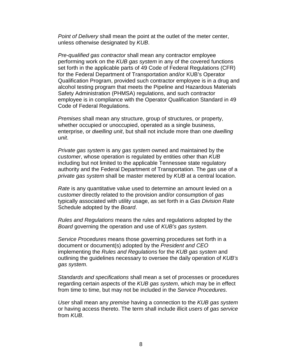*Point of Delivery* shall mean the point at the outlet of the meter center, unless otherwise designated by *KUB*.

*Pre-qualified gas contractor* shall mean any contractor employee performing work on the *KUB gas system* in any of the covered functions set forth in the applicable parts of 49 Code of Federal Regulations (CFR) for the Federal Department of Transportation and/or KUB's Operator Qualification Program, provided such contractor employee is in a drug and alcohol testing program that meets the Pipeline and Hazardous Materials Safety Administration (PHMSA) regulations, and such contractor employee is in compliance with the Operator Qualification Standard in 49 Code of Federal Regulations.

*Premises* shall mean any structure, group of structures, or property, whether occupied or unoccupied, operated as a single business, enterprise, or *dwelling unit*, but shall not include more than one *dwelling unit*.

*Private gas system* is any *gas system* owned and maintained by the *customer*, whose operation is regulated by entities other than *KUB* including but not limited to the applicable Tennessee state regulatory authority and the Federal Department of Transportation. The *gas* use of a *private gas system* shall be master metered by *KUB* at a central location.

*Rate* is any quantitative value used to determine an amount levied on a *customer* directly related to the provision and/or consumption of *gas* typically associated with utility usage, as set forth in a *Gas Division Rate* Schedule adopted by the *Board*.

*Rules and Regulations* means the rules and regulations adopted by the *Board* governing the operation and use of *KUB's gas system*.

*Service Procedures* means those governing procedures set forth in a document or document(s) adopted by the *President and CEO* implementing the *Rules and Regulations* for the *KUB gas system* and outlining the guidelines necessary to oversee the daily operation of *KUB's gas system*.

*Standards and specifications* shall mean a set of processes or procedures regarding certain aspects of the *KUB gas system*, which may be in effect from time to time, but may not be included in the *Service Procedures*.

*User* shall mean any *premise* having a connection to the *KUB gas system* or having access thereto. The term shall include illicit *users* of *gas service* from *KUB*.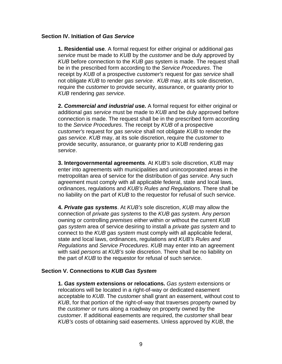#### **Section IV. Initiation of** *Gas Service*

**1. Residential use**. A formal request for either original or additional *gas service* must be made to *KUB* by the *customer* and be duly approved by *KUB* before connection to the *KUB gas* system is made. The request shall be in the prescribed form according to the *Service Procedures*. The receipt by *KUB* of a prospective *customer's* request for *gas service* shall not obligate *KUB* to render *gas service*. *KUB* may, at its sole discretion, require the *customer* to provide security, assurance, or guaranty prior to *KUB* rendering *gas service*.

**2.** *Commercial and industrial use.* A formal request for either original or additional *gas service* must be made to *KUB* and be duly approved before connection is made. The request shall be in the prescribed form according to the *Service Procedures*. The receipt by *KUB* of a prospective *customer's* request for *gas service* shall not obligate *KUB* to render the *gas service*. *KUB* may, at its sole discretion, require the *customer* to provide security, assurance, or guaranty prior to *KUB* rendering *gas service*.

**3. Intergovernmental agreements**. At *KUB's* sole discretion, *KUB* may enter into agreements with municipalities and unincorporated areas in the metropolitan area of service for the distribution of *gas service*. Any such agreement must comply with all applicable federal, state and local laws, ordinances, regulations and *KUB's Rules and Regulations*. There shall be no liability on the part of *KUB* to the requestor for refusal of such service.

**4.** *Private gas systems*. At *KUB's* sole discretion, *KUB* may allow the connection of *private gas systems* to the *KUB gas system*. Any *person* owning or controlling *premises* either within or without the current *KUB gas system* area of service desiring to install a *private gas system* and to connect to the *KUB gas system* must comply with all applicable federal, state and local laws, ordinances, regulations and *KUB's Rules and Regulations* and *Service Procedures*. *KUB* may enter into an agreement with said *persons* at *KUB's* sole discretion. There shall be no liability on the part of *KUB* to the requestor for refusal of such service.

#### **Section V. Connections to** *KUB Gas System*

**1.** *Gas system* **extensions or relocations.** *Gas system* extensions or relocations will be located in a right-of-way or dedicated easement acceptable to *KUB*. The *customer* shall grant an easement, without cost to *KUB*, for that portion of the right-of-way that traverses property owned by the *customer* or runs along a roadway on property owned by the *customer*. If additional easements are required, the *customer* shall bear *KUB's* costs of obtaining said easements. Unless approved by *KUB*, the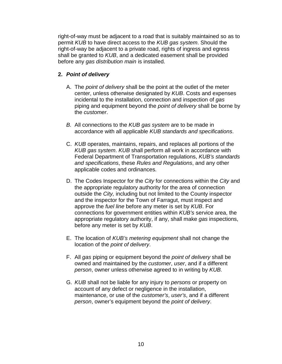right-of-way must be adjacent to a road that is suitably maintained so as to permit *KUB* to have direct access to the *KUB gas system*. Should the right-of-way be adjacent to a private road, rights of ingress and egress shall be granted to *KUB*, and a dedicated easement shall be provided before any *gas distribution main* is installed.

# **2.** *Point of delivery*

- A. The *point of delivery* shall be the point at the outlet of the meter center, unless otherwise designated by *KUB*. Costs and expenses incidental to the installation, connection and inspection of *gas*  piping and equipment beyond the *point of delivery* shall be borne by the *customer*.
- *B.* All connections to the *KUB gas system* are to be made in accordance with all applicable *KUB standards and specifications*.
- C. *KUB* operates, maintains, repairs, and replaces all portions of the *KUB gas system*. *KUB* shall perform all work in accordance with Federal Department of Transportation regulations, *KUB's standards and specifications*, these *Rules and Regulations*, and any other applicable codes and ordinances.
- D. The Codes Inspector for the *City* for connections within the *City* and the appropriate regulatory authority for the area of connection outside the *City,* including but not limited to the County inspector and the inspector for the Town of Farragut, must inspect and approve the *fuel line* before any meter is set by *KUB*. For connections for government entities within *KUB's* service area, the appropriate regulatory authority, if any, shall make *gas* inspections, before any meter is set by *KUB*.
- E. The location of *KUB's metering equipment* shall not change the location of the *point of delivery*.
- F. All *gas* piping or equipment beyond the *point of delivery* shall be owned and maintained by the *customer*, *user*, and if a different *person*, owner unless otherwise agreed to in writing by *KUB.*
- G. *KUB* shall not be liable for any injury to *persons* or property on account of any defect or negligence in the installation, maintenance, or use of the *customer's*, *user's*, and if a different *person*, owner's equipment beyond the *point of delivery*.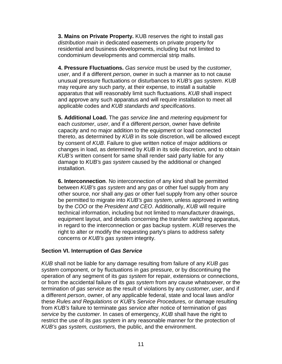**3. Mains on Private Property.** KUB reserves the right to install *gas distribution main* in dedicated easements on private property for residential and business developments, including but not limited to condominium developments and commercial strip malls.

**4. Pressure Fluctuations.** *Gas service* must be used by the *customer*, *user*, and if a different *person*, owner in such a manner as to not cause unusual pressure fluctuations or disturbances to *KUB's gas system*. *KUB* may require any such party, at their expense, to install a suitable apparatus that will reasonably limit such fluctuations. *KUB* shall inspect and approve any such apparatus and will require installation to meet all applicable codes and *KUB standards and specifications*.

**5. Additional Load.** The *gas service line* and *metering equipment* for each *customer*, *user*, and if a different *person*, owner have definite capacity and no major addition to the equipment or load connected thereto, as determined by *KUB* in its sole discretion, will be allowed except by consent of *KUB*. Failure to give written notice of major additions or changes in load, as determined by *KUB* in its sole discretion, and to obtain *KUB's* written consent for same shall render said party liable for any damage to *KUB's gas system* caused by the additional or changed installation.

**6. Interconnection**. No interconnection of any kind shall be permitted between *KUB's gas system* and any *gas* or other fuel supply from any other source, nor shall any *gas* or other fuel supply from any other source be permitted to migrate into *KUB's gas system*, unless approved in writing by the *COO* or the *President and CEO*. Additionally, *KUB* will require technical information, including but not limited to manufacturer drawings, equipment layout, and details concerning the transfer switching apparatus, in regard to the interconnection or *gas* backup system. *KUB* reserves the right to alter or modify the requesting party's plans to address safety concerns or *KUB's gas system* integrity.

#### **Section VI. Interruption of** *Gas Service*

*KUB* shall not be liable for any damage resulting from failure of any *KUB gas system* component, or by fluctuations in *gas* pressure, or by discontinuing the operation of any segment of its *gas system* for repair, extensions or connections, or from the accidental failure of its *gas system* from any cause whatsoever, or the termination of *gas service* as the result of violations by any *customer*, *user*, and if a different *person*, owner, of any applicable federal, state and local laws and/or these *Rules and Regulations* or *KUB*'s *Service Procedures,* or damage resulting from *KUB's* failure to terminate *gas service* after notice of termination of *gas service* by the *customer*. In cases of emergency, *KUB* shall have the right to restrict the use of its *gas system* in any reasonable manner for the protection of *KUB's gas system, customers,* the public, and the environment.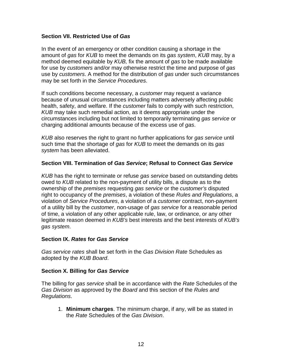#### **Section VII. Restricted Use of** *Gas*

In the event of an emergency or other condition causing a shortage in the amount of *gas* for *KUB* to meet the demands on its *gas system*, *KUB* may, by a method deemed equitable by *KUB,* fix the amount of *gas* to be made available for use by *customers* and/or may otherwise restrict the time and purpose of *gas* use by *customers*. A method for the distribution of *gas* under such circumstances may be set forth in the *Service Procedures*.

If such conditions become necessary, a *customer* may request a variance because of unusual circumstances including matters adversely affecting public health, safety, and welfare. If the *customer* fails to comply with such restriction, *KUB* may take such remedial action, as it deems appropriate under the circumstances including but not limited to temporarily terminating *gas service* or charging additional amounts because of the excess use of *gas*.

*KUB* also reserves the right to grant no further applications for *gas service* until such time that the shortage of *gas* for *KUB* to meet the demands on its *gas system* has been alleviated.

#### **Section VIII. Termination of** *Gas Service***; Refusal to Connect** *Gas Service*

*KUB* has the right to terminate or refuse *gas service* based on outstanding debts owed to *KUB* related to the non-payment of utility bills, a dispute as to the ownership of the *premises* requesting *gas service* or the *customer's* disputed right to occupancy of the *premises*, a violation of these *Rules and Regulations*, a violation of *Service Procedures*, a violation of a *customer* contract, non-payment of a utility bill by the *customer*, non-usage of *gas service* for a reasonable period of time, a violation of any other applicable rule, law, or ordinance, or any other legitimate reason deemed in *KUB's* best interests and the best interests of *KUB's gas system*.

#### **Section IX.** *Rates* **for** *Gas Service*

*Gas service rates* shall be set forth in the *Gas Division Rate* Schedules as adopted by the *KUB Board*.

#### **Section X. Billing for** *Gas Service*

The billing for *gas service* shall be in accordance with the *Rate* Schedules of the *Gas Division* as approved by the *Board* and this section of the *Rules and Regulations*.

1. **Minimum charges**. The minimum charge, if any, will be as stated in the *Rate* Schedules of the *Gas Division*.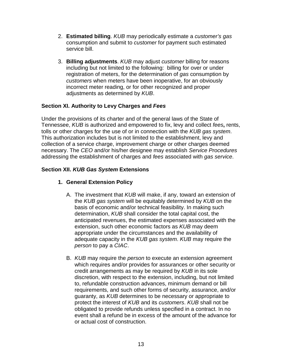- 2. **Estimated billing**. *KUB* may periodically estimate a *customer's gas*  consumption and submit to *customer* for payment such estimated service bill.
- 3. **Billing adjustments**. *KUB* may adjust *customer* billing for reasons including but not limited to the following: billing for over or under registration of meters, for the determination of *gas* consumption by *customers* when meters have been inoperative, for an obviously incorrect meter reading, or for other recognized and proper adjustments as determined by *KUB*.

# **Section XI. Authority to Levy Charges and** *Fees*

Under the provisions of its charter and of the general laws of the State of Tennessee, *KUB* is authorized and empowered to fix, levy and collect *fees***,** rents, tolls or other charges for the use of or in connection with the *KUB gas system*. This authorization includes but is not limited to the establishment, levy and collection of a service charge, improvement charge or other charges deemed necessary. The *CEO* and/or his/her designee may establish *Service Procedures* addressing the establishment of charges and *fees* associated with *gas service*.

# **Section XII.** *KUB Gas System* **Extensions**

# **1. General Extension Policy**

- A. The investment that *KUB* will make, if any, toward an extension of the *KUB gas system* will be equitably determined by *KUB* on the basis of economic and/or technical feasibility. In making such determination, *KUB* shall consider the total capital cost, the anticipated revenues, the estimated expenses associated with the extension, such other economic factors as *KUB* may deem appropriate under the circumstances and the availability of adequate capacity in the *KUB gas system*. *KUB* may require the *person* to pay a *CIAC*.
- B. *KUB* may require the *person* to execute an extension agreement which requires and/or provides for assurances or other security or credit arrangements as may be required by *KUB* in its sole discretion, with respect to the extension, including, but not limited to, refundable construction advances, minimum demand or bill requirements, and such other forms of security, assurance, and/or guaranty, as *KUB* determines to be necessary or appropriate to protect the interest of *KUB* and its *customers*. *KUB* shall not be obligated to provide refunds unless specified in a contract. In no event shall a refund be in excess of the amount of the advance for or actual cost of construction.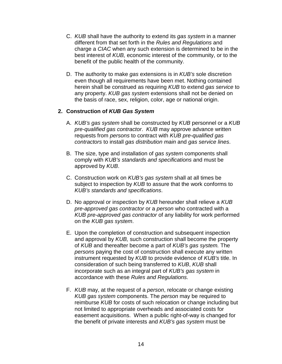- C. *KUB* shall have the authority to extend its *gas system* in a manner different from that set forth in the *Rules and Regulations* and charge a *CIAC* when any such extension is determined to be in the best interest of *KUB,* economic interest of the community, or to the benefit of the public health of the community.
- D. The authority to make *gas* extensions is in *KUB's* sole discretion even though all requirements have been met. Nothing contained herein shall be construed as requiring *KUB* to extend *gas service* to any property. *KUB gas system* extensions shall not be denied on the basis of race, sex, religion, color, age or national origin.

### **2. Construction of** *KUB Gas System*

- A. *KUB's gas system* shall be constructed by *KUB* personnel or a *KUB pre-qualified gas contractor*. *KUB* may approve advance written requests from *persons* to contract with *KUB pre-qualified gas contractors* to install *gas distribution main* and *gas service lines*.
- B. The size, type and installation of *gas system* components shall comply with *KUB's standards and specifications* and must be approved by *KUB*.
- C. Construction work on *KUB's gas system* shall at all times be subject to inspection by *KUB* to assure that the work conforms to *KUB's standards and specifications*.
- D. No approval or inspection by *KUB* hereunder shall relieve a *KUB pre-approved gas contractor* or a *person* who contracted with a *KUB pre-approved gas contractor* of any liability for work performed on the *KUB gas system*.
- E. Upon the completion of construction and subsequent inspection and approval by *KUB,* such construction shall become the property of *KUB* and thereafter become a part of *KUB's gas system.* The *persons* paying the cost of construction shall execute any written instrument requested by *KUB* to provide evidence of *KUB's* title. In consideration of such being transferred to *KUB*, *KUB* shall incorporate such as an integral part of *KUB's gas system* in accordance with these *Rules and Regulations*.
- F. *KUB* may, at the request of a *person*, relocate or change existing *KUB gas system* components. The *person* may be required to reimburse *KUB* for costs of such relocation or change including but not limited to appropriate overheads and associated costs for easement acquisitions. When a public right-of-way is changed for the benefit of private interests and *KUB's gas system* must be